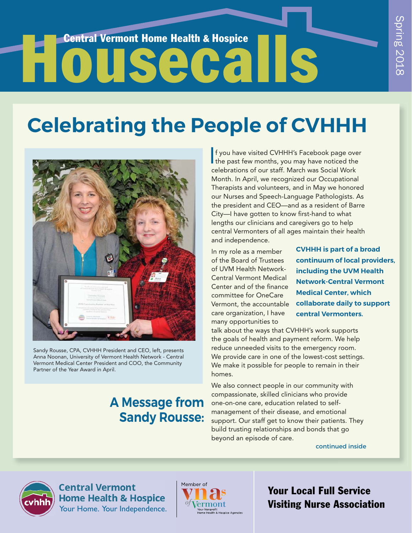# **House Central Vermont Home Health & Hospice**

# **Celebrating the People of CVHHH**



Sandy Rousse, CPA, CVHHH President and CEO, left, presents Anna Noonan, University of Vermont Health Network - Central Vermont Medical Center President and COO, the Community Partner of the Year Award in April.

## **A Message from Sandy Rousse:**

If you have visited CVHHH's Facebook page over<br>the past few months, you may have noticed the f you have visited CVHHH's Facebook page over celebrations of our staff. March was Social Work Month. In April, we recognized our Occupational Therapists and volunteers, and in May we honored our Nurses and Speech-Language Pathologists. As the president and CEO—and as a resident of Barre City-I have gotten to know first-hand to what lengths our clinicians and caregivers go to help central Vermonters of all ages maintain their health and independence.

In my role as a member of the Board of Trustees of UVM Health Network-Central Vermont Medical Center and of the finance committee for OneCare Vermont, the accountable care organization, I have many opportunities to

**CVHHH is part of a broad continuum of local providers, including the UVM Health Network-Central Vermont Medical Center, which collaborate daily to support central Vermonters.** 

talk about the ways that CVHHH's work supports the goals of health and payment reform. We help reduce unneeded visits to the emergency room. We provide care in one of the lowest-cost settings. We make it possible for people to remain in their homes.

We also connect people in our community with compassionate, skilled clinicians who provide one-on-one care, education related to selfmanagement of their disease, and emotional support. Our staff get to know their patients. They build trusting relationships and bonds that go beyond an episode of care.

continued inside



**Central Vermont Home Health & Hospice** Your Home. Your Independence.



Your Local Full Service Visiting Nurse Association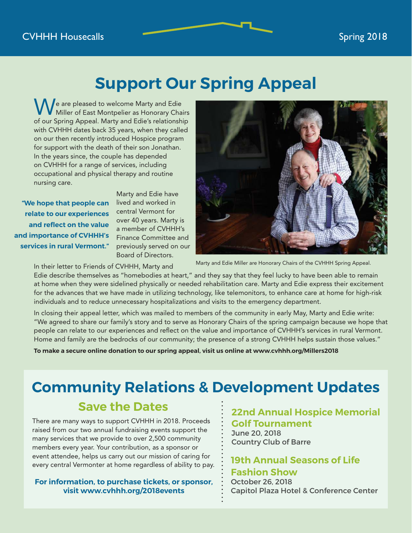#### **CVHHH Housecalls** Spring 2018

## **Support Our Spring Appeal**

e are pleased to welcome Marty and Edie Miller of East Montpelier as Honorary Chairs of our Spring Appeal. Marty and Edie's relationship with CVHHH dates back 35 years, when they called on our then recently introduced Hospice program for support with the death of their son Jonathan. In the years since, the couple has depended on CVHHH for a range of services, including occupational and physical therapy and routine nursing care.

**"We hope that people can relate to our experiences**  and reflect on the value **and importance of CVHHH's services in rural Vermont."**

Marty and Edie have lived and worked in central Vermont for over 40 years. Marty is a member of CVHHH's Finance Committee and previously served on our Board of Directors.

In their letter to Friends of CVHHH, Marty and Edie describe themselves as "homebodies at heart," and they say that they feel lucky to have been able to remain at home when they were sidelined physically or needed rehabilitation care. Marty and Edie express their excitement for the advances that we have made in utilizing technology, like telemonitors, to enhance care at home for high-risk Marty and Edie Miller are Honorary Chairs of the CVHHH Spring Appeal.

In closing their appeal letter, which was mailed to members of the community in early May, Marty and Edie write: "We agreed to share our family's story and to serve as Honorary Chairs of the spring campaign because we hope that people can relate to our experiences and reflect on the value and importance of CVHHH's services in rural Vermont. Home and family are the bedrocks of our community; the presence of a strong CVHHH helps sustain those values."

**To make a secure online donation to our spring appeal, visit us online at www.cvhhh.org/Millers2018**

individuals and to reduce unnecessary hospitalizations and visits to the emergency department.

## **Community Relations & Development Updates**

#### **Save the Dates**

There are many ways to support CVHHH in 2018. Proceeds raised from our two annual fundraising events support the many services that we provide to over 2,500 community members every year. Your contribution, as a sponsor or event attendee, helps us carry out our mission of caring for every central Vermonter at home regardless of ability to pay.

**For information, to purchase tickets, or sponsor, visit www.cvhhh.org/2018events**

**22nd Annual Hospice Memorial Golf Tournament**

June 20, 2018 Country Club of Barre

#### **19th Annual Seasons of Life Fashion Show**

October 26, 2018 Capitol Plaza Hotel & Conference Center

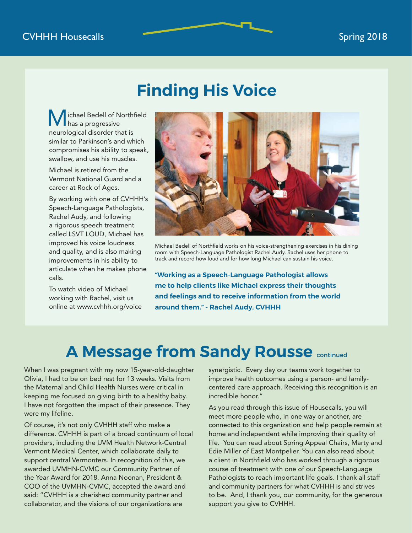## **Finding His Voice**

ichael Bedell of Northfield has a progressive neurological disorder that is similar to Parkinson's and which compromises his ability to speak, swallow, and use his muscles.

Michael is retired from the Vermont National Guard and a career at Rock of Ages.

By working with one of CVHHH's Speech-Language Pathologists, Rachel Audy, and following a rigorous speech treatment called LSVT LOUD, Michael has improved his voice loudness and quality, and is also making improvements in his ability to articulate when he makes phone calls.

To watch video of Michael working with Rachel, visit us online at www.cvhhh.org/voice



Michael Bedell of Northfield works on his voice-strengthening exercises in his dining room with Speech-Language Pathologist Rachel Audy. Rachel uses her phone to track and record how loud and for how long Michael can sustain his voice.

**"Working as a Speech-Language Pathologist allows me to help clients like Michael express their thoughts and feelings and to receive information from the world around them." - Rachel Audy, CVHHH**

## **A Message from Sandy Rousse continued**

When I was pregnant with my now 15-year-old-daughter Olivia, I had to be on bed rest for 13 weeks. Visits from the Maternal and Child Health Nurses were critical in keeping me focused on giving birth to a healthy baby. I have not forgotten the impact of their presence. They were my lifeline.

Of course, it's not only CVHHH staff who make a difference. CVHHH is part of a broad continuum of local providers, including the UVM Health Network-Central Vermont Medical Center, which collaborate daily to support central Vermonters. In recognition of this, we awarded UVMHN-CVMC our Community Partner of the Year Award for 2018. Anna Noonan, President & COO of the UVMHN-CVMC, accepted the award and said: "CVHHH is a cherished community partner and collaborator, and the visions of our organizations are

synergistic. Every day our teams work together to improve health outcomes using a person- and familycentered care approach. Receiving this recognition is an incredible honor."

As you read through this issue of Housecalls, you will meet more people who, in one way or another, are connected to this organization and help people remain at home and independent while improving their quality of life. You can read about Spring Appeal Chairs, Marty and Edie Miller of East Montpelier. You can also read about a client in Northfield who has worked through a rigorous course of treatment with one of our Speech-Language Pathologists to reach important life goals. I thank all staff and community partners for what CVHHH is and strives to be. And, I thank you, our community, for the generous support you give to CVHHH.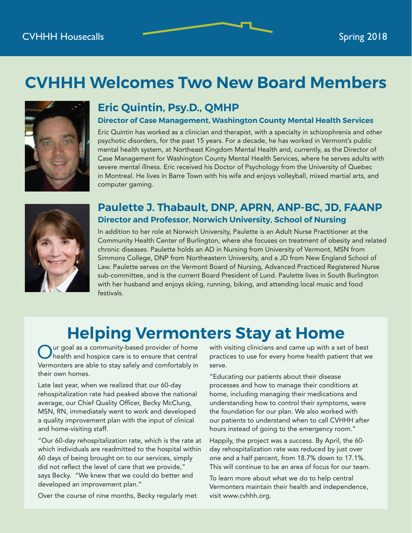## **CVHHH Welcomes Two New Board Members**



## **Eric Quintin, Psy.D., QMHP**

#### **Director of Case Management, Washington County Mental Health Services**

Eric Quintin has worked as a clinician and therapist, with a specialty in schizophrenia and other psychotic disorders, for the past 15 years. For a decade, he has worked in Vermont's public mental health system, at Northeast Kingdom Mental Health and, currently, as the Director of Case Management for Washington County Mental Health Services, where he serves adults with severe mental illness. Eric received his Doctor of Psychology from the University of Quebec in Montreal. He lives in Barre Town with his wife and enjoys volleyball, mixed martial arts, and computer gaming.



#### **Paulette J. Thabault, DNP, APRN, ANP-BC, JD, FAANP Director and Professor, Norwich University, School of Nursing**

In addition to her role at Norwich University, Paulette is an Adult Nurse Practitioner at the Community Health Center of Burlington, where she focuses on treatment of obesity and related chronic diseases. Paulette holds an AD in Nursing from University of Vermont, MSN from Simmons College, DNP from Northeastern University, and a JD from New England School of Law. Paulette serves on the Vermont Board of Nursing, Advanced Practiced Registered Nurse sub-committee, and is the current Board President of Lund. Paulette lives in South Burlington with her husband and enjoys skiing, running, biking, and attending local music and food festivals.

## **Helping Vermonters Stay at Home**

Our goal as a community-based provider of home<br>health and hospice care is to ensure that central ur goal as a community-based provider of home Vermonters are able to stay safely and comfortably in their own homes.

Late last year, when we realized that our 60-day rehospitalization rate had peaked above the national average, our Chief Quality Officer, Becky McClung, MSN, RN, immediately went to work and developed a quality improvement plan with the input of clinical and home-visiting staff.

"Our 60-day rehospitalization rate, which is the rate at which individuals are readmitted to the hospital within 60 days of being brought on to our services, simply did not reflect the level of care that we provide," says Becky. "We knew that we could do better and developed an improvement plan."

Over the course of nine months, Becky regularly met

with visiting clinicians and came up with a set of best practices to use for every home health patient that we serve.

"Educating our patients about their disease processes and how to manage their conditions at home, including managing their medications and understanding how to control their symptoms, were the foundation for our plan. We also worked with our patients to understand when to call CVHHH after hours instead of going to the emergency room."

Happily, the project was a success. By April, the 60 day rehospitalization rate was reduced by just over one and a half percent, from 18.7% down to 17.1%. This will continue to be an area of focus for our team.

To learn more about what we do to help central Vermonters maintain their health and independence, visit www.cvhhh.org.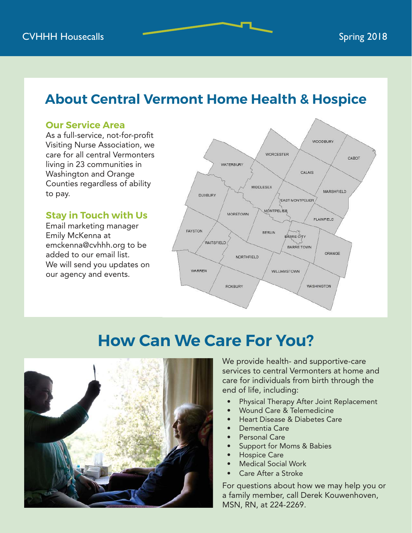## **About Central Vermont Home Health & Hospice**

#### **Our Service Area**

As a full-service, not-for-profit Visiting Nurse Association, we care for all central Vermonters living in 23 communities in Washington and Orange Counties regardless of ability to pay.

#### **Stay in Touch with Us**

Email marketing manager Emily McKenna at emckenna@cvhhh.org to be added to our email list. We will send you updates on our agency and events.



## **How Can We Care For You?**



We provide health- and supportive-care services to central Vermonters at home and care for individuals from birth through the end of life, including:

- Physical Therapy After Joint Replacement
- Wound Care & Telemedicine
- Heart Disease & Diabetes Care
- Dementia Care
- Personal Care
- Support for Moms & Babies
- Hospice Care
- Medical Social Work
- Care After a Stroke

For questions about how we may help you or a family member, call Derek Kouwenhoven, MSN, RN, at 224-2269.